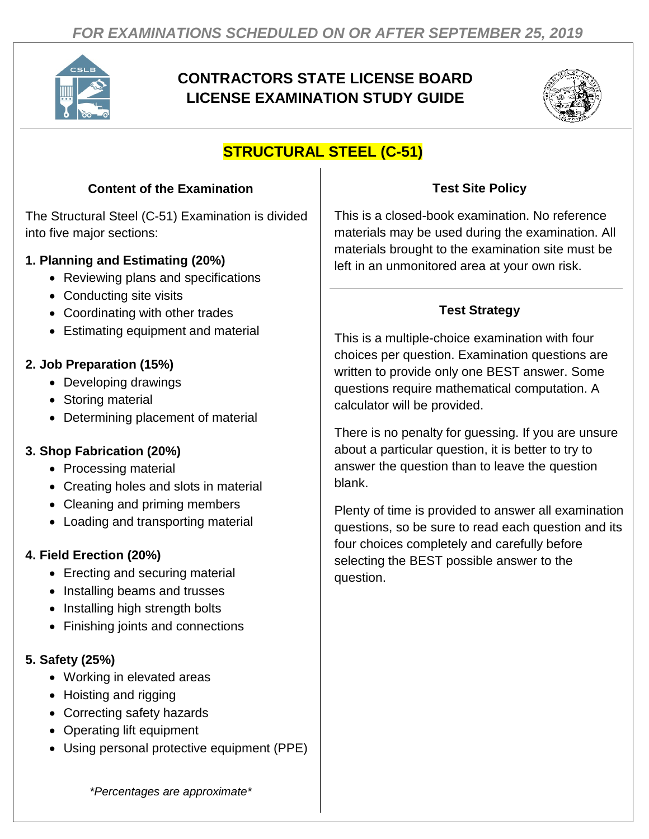

# **CONTRACTORS STATE LICENSE BOARD LICENSE EXAMINATION STUDY GUIDE**



# **STRUCTURAL STEEL (C-51)**

#### **Content of the Examination**

The Structural Steel (C-51) Examination is divided into five major sections:

#### **1. Planning and Estimating (20%)**

- Reviewing plans and specifications
- Conducting site visits
- Coordinating with other trades
- Estimating equipment and material

## **2. Job Preparation (15%)**

- Developing drawings
- Storing material
- Determining placement of material

## **3. Shop Fabrication (20%)**

- Processing material
- Creating holes and slots in material
- Cleaning and priming members
- Loading and transporting material

## **4. Field Erection (20%)**

- Erecting and securing material
- Installing beams and trusses
- Installing high strength bolts
- Finishing joints and connections

## **5. Safety (25%)**

- Working in elevated areas
- Hoisting and rigging
- Correcting safety hazards
- Operating lift equipment
- Using personal protective equipment (PPE)

## **Test Site Policy**

This is a closed-book examination. No reference materials may be used during the examination. All materials brought to the examination site must be left in an unmonitored area at your own risk.

## **Test Strategy**

This is a multiple-choice examination with four choices per question. Examination questions are written to provide only one BEST answer. Some questions require mathematical computation. A calculator will be provided.

There is no penalty for guessing. If you are unsure about a particular question, it is better to try to answer the question than to leave the question blank.

Plenty of time is provided to answer all examination questions, so be sure to read each question and its four choices completely and carefully before selecting the BEST possible answer to the question.

*\*Percentages are approximate\**